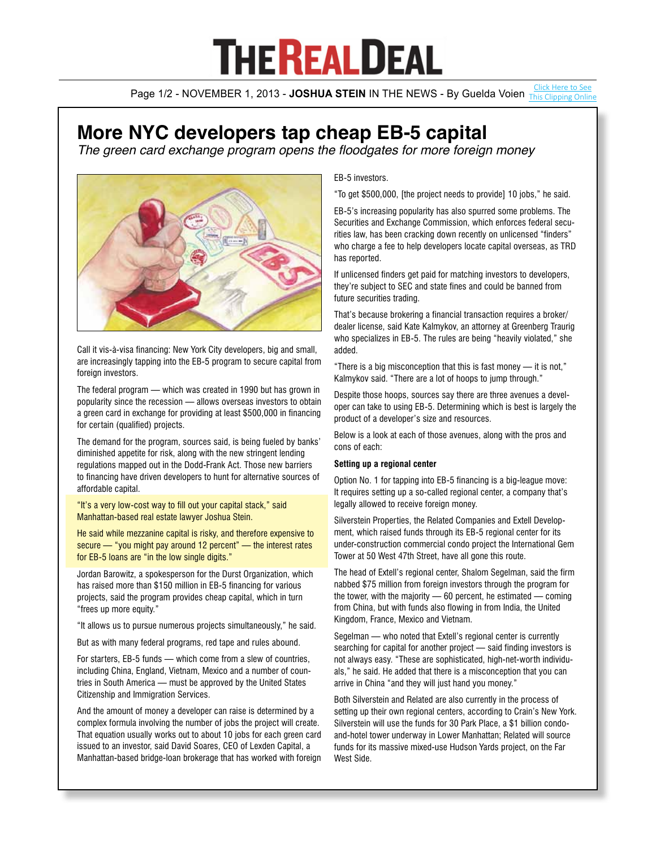# **THE REALDEAL**

Page 1/2 - NOVEMBER 1, 2013 - **JOSHUA STEIN** IN THE NEWS - By Guelda Voien *[This Clipping Online](http://therealdeal.com/issues_articles/eb-5-in-overdrive/)* 

## **More NYC developers tap cheap EB-5 capital**

The green card exchange program opens the floodgates for more foreign money



Call it vis-à-visa financing: New York City developers, big and small, are increasingly tapping into the EB-5 program to secure capital from foreign investors.

The federal program — which was created in 1990 but has grown in popularity since the recession — allows overseas investors to obtain a green card in exchange for providing at least \$500,000 in financing for certain (qualified) projects.

The demand for the program, sources said, is being fueled by banks' diminished appetite for risk, along with the new stringent lending regulations mapped out in the Dodd-Frank Act. Those new barriers to financing have driven developers to hunt for alternative sources of affordable capital.

"It's a very low-cost way to fill out your capital stack," said Manhattan-based real estate lawyer Joshua Stein.

He said while mezzanine capital is risky, and therefore expensive to secure — "you might pay around 12 percent" — the interest rates for EB-5 loans are "in the low single digits."

Jordan Barowitz, a spokesperson for the Durst Organization, which has raised more than \$150 million in EB-5 financing for various projects, said the program provides cheap capital, which in turn "frees up more equity."

"It allows us to pursue numerous projects simultaneously," he said.

But as with many federal programs, red tape and rules abound.

For starters, EB-5 funds — which come from a slew of countries, including China, England, Vietnam, Mexico and a number of countries in South America — must be approved by the United States Citizenship and Immigration Services.

And the amount of money a developer can raise is determined by a complex formula involving the number of jobs the project will create. That equation usually works out to about 10 jobs for each green card issued to an investor, said David Soares, CEO of Lexden Capital, a Manhattan-based bridge-loan brokerage that has worked with foreign

EB-5 investors.

"To get \$500,000, [the project needs to provide] 10 jobs," he said.

EB-5's increasing popularity has also spurred some problems. The Securities and Exchange Commission, which enforces federal securities law, has been cracking down recently on unlicensed "finders" who charge a fee to help developers locate capital overseas, as TRD has reported.

If unlicensed finders get paid for matching investors to developers, they're subject to SEC and state fines and could be banned from future securities trading.

That's because brokering a financial transaction requires a broker/ dealer license, said Kate Kalmykov, an attorney at Greenberg Traurig who specializes in EB-5. The rules are being "heavily violated," she added.

"There is a big misconception that this is fast money — it is not," Kalmykov said. "There are a lot of hoops to jump through."

Despite those hoops, sources say there are three avenues a developer can take to using EB-5. Determining which is best is largely the product of a developer's size and resources.

Below is a look at each of those avenues, along with the pros and cons of each:

### **Setting up a regional center**

Option No. 1 for tapping into EB-5 financing is a big-league move: It requires setting up a so-called regional center, a company that's legally allowed to receive foreign money.

Silverstein Properties, the Related Companies and Extell Development, which raised funds through its EB-5 regional center for its under-construction commercial condo project the International Gem Tower at 50 West 47th Street, have all gone this route.

The head of Extell's regional center, Shalom Segelman, said the firm nabbed \$75 million from foreign investors through the program for the tower, with the majority — 60 percent, he estimated — coming from China, but with funds also flowing in from India, the United Kingdom, France, Mexico and Vietnam.

Segelman — who noted that Extell's regional center is currently searching for capital for another project — said finding investors is not always easy. "These are sophisticated, high-net-worth individuals," he said. He added that there is a misconception that you can arrive in China "and they will just hand you money."

Both Silverstein and Related are also currently in the process of setting up their own regional centers, according to Crain's New York. Silverstein will use the funds for 30 Park Place, a \$1 billion condoand-hotel tower underway in Lower Manhattan; Related will source funds for its massive mixed-use Hudson Yards project, on the Far West Side.